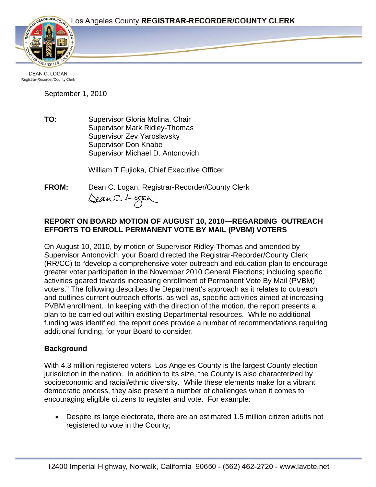

**DEAN C. LOGAN** Registrar-Recorder/County Clerk

September 1, 2010

**TO:** Supervisor Gloria Molina, Chair Supervisor Mark Ridley-Thomas Supervisor Zev Yaroslavsky Supervisor Don Knabe Supervisor Michael D. Antonovich

William T Fujioka, Chief Executive Officer

**FROM:** Dean C. Logan, Registrar-Recorder/County Clerk

DeanC. Logan

### **REPORT ON BOARD MOTION OF AUGUST 10, 2010—REGARDING OUTREACH EFFORTS TO ENROLL PERMANENT VOTE BY MAIL (PVBM) VOTERS**

On August 10, 2010, by motion of Supervisor Ridley-Thomas and amended by Supervisor Antonovich, your Board directed the Registrar-Recorder/County Clerk (RR/CC) to "develop a comprehensive voter outreach and education plan to encourage greater voter participation in the November 2010 General Elections; including specific activities geared towards increasing enrollment of Permanent Vote By Mail (PVBM) voters." The following describes the Department's approach as it relates to outreach and outlines current outreach efforts, as well as, specific activities aimed at increasing PVBM enrollment. In keeping with the direction of the motion, the report presents a plan to be carried out within existing Departmental resources. While no additional funding was identified, the report does provide a number of recommendations requiring additional funding, for your Board to consider.

#### **Background**

With 4.3 million registered voters, Los Angeles County is the largest County election jurisdiction in the nation. In addition to its size, the County is also characterized by socioeconomic and racial/ethnic diversity. While these elements make for a vibrant democratic process, they also present a number of challenges when it comes to encouraging eligible citizens to register and vote. For example:

• Despite its large electorate, there are an estimated 1.5 million citizen adults not registered to vote in the County;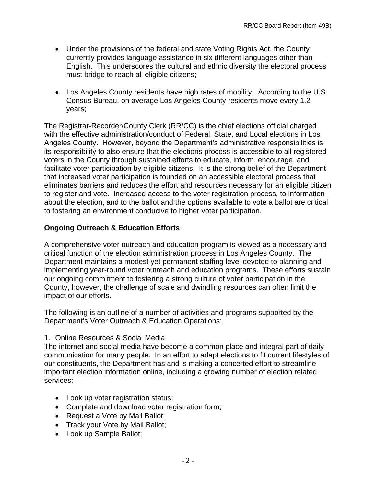- Under the provisions of the federal and state Voting Rights Act, the County currently provides language assistance in six different languages other than English. This underscores the cultural and ethnic diversity the electoral process must bridge to reach all eligible citizens;
- Los Angeles County residents have high rates of mobility. According to the U.S. Census Bureau, on average Los Angeles County residents move every 1.2 years;

The Registrar-Recorder/County Clerk (RR/CC) is the chief elections official charged with the effective administration/conduct of Federal, State, and Local elections in Los Angeles County. However, beyond the Department's administrative responsibilities is its responsibility to also ensure that the elections process is accessible to all registered voters in the County through sustained efforts to educate, inform, encourage, and facilitate voter participation by eligible citizens. It is the strong belief of the Department that increased voter participation is founded on an accessible electoral process that eliminates barriers and reduces the effort and resources necessary for an eligible citizen to register and vote. Increased access to the voter registration process, to information about the election, and to the ballot and the options available to vote a ballot are critical to fostering an environment conducive to higher voter participation.

#### **Ongoing Outreach & Education Efforts**

A comprehensive voter outreach and education program is viewed as a necessary and critical function of the election administration process in Los Angeles County. The Department maintains a modest yet permanent staffing level devoted to planning and implementing year-round voter outreach and education programs. These efforts sustain our ongoing commitment to fostering a strong culture of voter participation in the County, however, the challenge of scale and dwindling resources can often limit the impact of our efforts.

The following is an outline of a number of activities and programs supported by the Department's Voter Outreach & Education Operations:

#### 1. Online Resources & Social Media

The internet and social media have become a common place and integral part of daily communication for many people. In an effort to adapt elections to fit current lifestyles of our constituents, the Department has and is making a concerted effort to streamline important election information online, including a growing number of election related services:

- Look up voter registration status;
- Complete and download voter registration form;
- Request a Vote by Mail Ballot;
- Track your Vote by Mail Ballot;
- Look up Sample Ballot;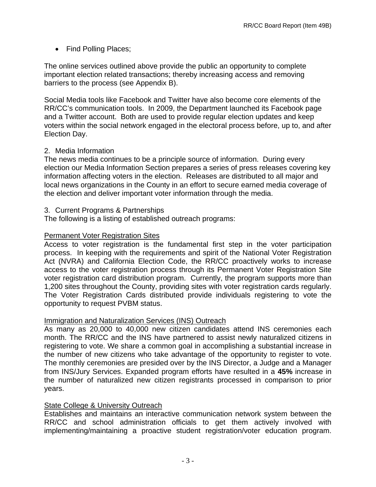• Find Polling Places;

The online services outlined above provide the public an opportunity to complete important election related transactions; thereby increasing access and removing barriers to the process (see Appendix B).

Social Media tools like Facebook and Twitter have also become core elements of the RR/CC's communication tools. In 2009, the Department launched its Facebook page and a Twitter account. Both are used to provide regular election updates and keep voters within the social network engaged in the electoral process before, up to, and after Election Day.

#### 2. Media Information

The news media continues to be a principle source of information. During every election our Media Information Section prepares a series of press releases covering key information affecting voters in the election. Releases are distributed to all major and local news organizations in the County in an effort to secure earned media coverage of the election and deliver important voter information through the media.

#### 3. Current Programs & Partnerships

The following is a listing of established outreach programs:

## Permanent Voter Registration Sites

Access to voter registration is the fundamental first step in the voter participation process. In keeping with the requirements and spirit of the National Voter Registration Act (NVRA) and California Election Code, the RR/CC proactively works to increase access to the voter registration process through its Permanent Voter Registration Site voter registration card distribution program. Currently, the program supports more than 1,200 sites throughout the County, providing sites with voter registration cards regularly. The Voter Registration Cards distributed provide individuals registering to vote the opportunity to request PVBM status.

## Immigration and Naturalization Services (INS) Outreach

As many as 20,000 to 40,000 new citizen candidates attend INS ceremonies each month. The RR/CC and the INS have partnered to assist newly naturalized citizens in registering to vote. We share a common goal in accomplishing a substantial increase in the number of new citizens who take advantage of the opportunity to register to vote. The monthly ceremonies are presided over by the INS Director, a Judge and a Manager from INS/Jury Services. Expanded program efforts have resulted in a **45%** increase in the number of naturalized new citizen registrants processed in comparison to prior years.

## **State College & University Outreach**

Establishes and maintains an interactive communication network system between the RR/CC and school administration officials to get them actively involved with implementing/maintaining a proactive student registration/voter education program.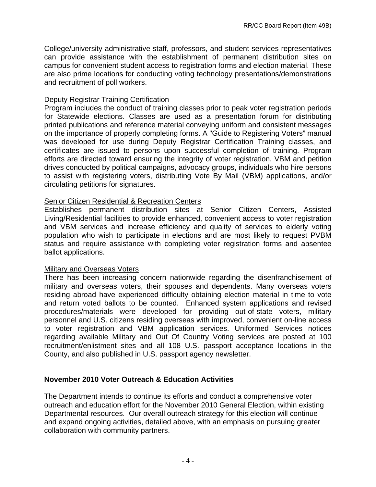College/university administrative staff, professors, and student services representatives can provide assistance with the establishment of permanent distribution sites on campus for convenient student access to registration forms and election material. These are also prime locations for conducting voting technology presentations/demonstrations and recruitment of poll workers.

#### Deputy Registrar Training Certification

Program includes the conduct of training classes prior to peak voter registration periods for Statewide elections. Classes are used as a presentation forum for distributing printed publications and reference material conveying uniform and consistent messages on the importance of properly completing forms. A "Guide to Registering Voters" manual was developed for use during Deputy Registrar Certification Training classes, and certificates are issued to persons upon successful completion of training. Program efforts are directed toward ensuring the integrity of voter registration, VBM and petition drives conducted by political campaigns, advocacy groups, individuals who hire persons to assist with registering voters, distributing Vote By Mail (VBM) applications, and/or circulating petitions for signatures.

#### Senior Citizen Residential & Recreation Centers

Establishes permanent distribution sites at Senior Citizen Centers, Assisted Living/Residential facilities to provide enhanced, convenient access to voter registration and VBM services and increase efficiency and quality of services to elderly voting population who wish to participate in elections and are most likely to request PVBM status and require assistance with completing voter registration forms and absentee ballot applications.

#### Military and Overseas Voters

There has been increasing concern nationwide regarding the disenfranchisement of military and overseas voters, their spouses and dependents. Many overseas voters residing abroad have experienced difficulty obtaining election material in time to vote and return voted ballots to be counted. Enhanced system applications and revised procedures/materials were developed for providing out-of-state voters, military personnel and U.S. citizens residing overseas with improved, convenient on-line access to voter registration and VBM application services. Uniformed Services notices regarding available Military and Out Of Country Voting services are posted at 100 recruitment/enlistment sites and all 108 U.S. passport acceptance locations in the County, and also published in U.S. passport agency newsletter.

#### **November 2010 Voter Outreach & Education Activities**

The Department intends to continue its efforts and conduct a comprehensive voter outreach and education effort for the November 2010 General Election, within existing Departmental resources. Our overall outreach strategy for this election will continue and expand ongoing activities, detailed above, with an emphasis on pursuing greater collaboration with community partners.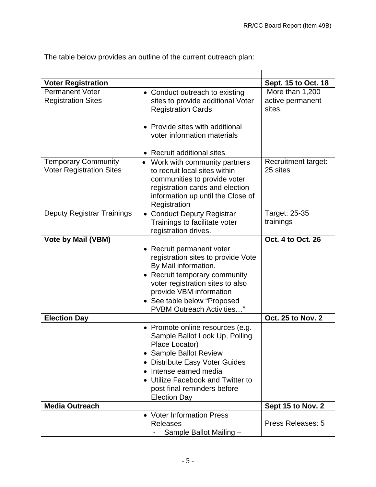The table below provides an outline of the current outreach plan:

| <b>Voter Registration</b>                                     |                                                                                                                                                                                                                                                                             | Sept. 15 to Oct. 18                           |
|---------------------------------------------------------------|-----------------------------------------------------------------------------------------------------------------------------------------------------------------------------------------------------------------------------------------------------------------------------|-----------------------------------------------|
| <b>Permanent Voter</b><br><b>Registration Sites</b>           | • Conduct outreach to existing<br>sites to provide additional Voter<br><b>Registration Cards</b>                                                                                                                                                                            | More than 1,200<br>active permanent<br>sites. |
|                                                               | Provide sites with additional<br>voter information materials                                                                                                                                                                                                                |                                               |
|                                                               | • Recruit additional sites                                                                                                                                                                                                                                                  |                                               |
| <b>Temporary Community</b><br><b>Voter Registration Sites</b> | Work with community partners<br>to recruit local sites within<br>communities to provide voter<br>registration cards and election<br>information up until the Close of<br>Registration                                                                                       | Recruitment target:<br>25 sites               |
| <b>Deputy Registrar Trainings</b>                             | <b>Conduct Deputy Registrar</b><br>$\bullet$<br>Trainings to facilitate voter<br>registration drives.                                                                                                                                                                       | Target: 25-35<br>trainings                    |
| <b>Vote by Mail (VBM)</b>                                     |                                                                                                                                                                                                                                                                             | Oct. 4 to Oct. 26                             |
|                                                               | • Recruit permanent voter<br>registration sites to provide Vote<br>By Mail information.<br>• Recruit temporary community<br>voter registration sites to also<br>provide VBM information<br>• See table below "Proposed<br><b>PVBM Outreach Activities</b> "                 |                                               |
| <b>Election Day</b>                                           |                                                                                                                                                                                                                                                                             | <b>Oct. 25 to Nov. 2</b>                      |
|                                                               | • Promote online resources (e.g.<br>Sample Ballot Look Up, Polling<br>Place Locator)<br>• Sample Ballot Review<br><b>Distribute Easy Voter Guides</b><br>٠<br>Intense earned media<br>Utilize Facebook and Twitter to<br>post final reminders before<br><b>Election Day</b> |                                               |
| <b>Media Outreach</b>                                         |                                                                                                                                                                                                                                                                             | Sept 15 to Nov. 2                             |
|                                                               | • Voter Information Press<br><b>Releases</b><br>Sample Ballot Mailing -                                                                                                                                                                                                     | Press Releases: 5                             |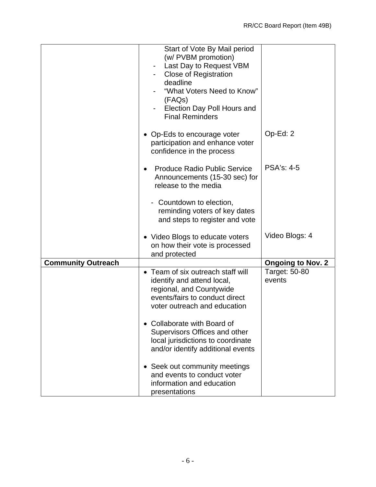|                           | Start of Vote By Mail period<br>(w/ PVBM promotion)<br>Last Day to Request VBM<br><b>Close of Registration</b><br>deadline<br>"What Voters Need to Know"<br>(FAQs)<br>Election Day Poll Hours and<br><b>Final Reminders</b> |                          |
|---------------------------|-----------------------------------------------------------------------------------------------------------------------------------------------------------------------------------------------------------------------------|--------------------------|
|                           | • Op-Eds to encourage voter<br>participation and enhance voter<br>confidence in the process                                                                                                                                 | Op-Ed: 2                 |
|                           | <b>Produce Radio Public Service</b><br>$\bullet$<br>Announcements (15-30 sec) for<br>release to the media                                                                                                                   | <b>PSA's: 4-5</b>        |
|                           | - Countdown to election,<br>reminding voters of key dates<br>and steps to register and vote                                                                                                                                 |                          |
|                           | • Video Blogs to educate voters<br>on how their vote is processed<br>and protected                                                                                                                                          | Video Blogs: 4           |
| <b>Community Outreach</b> |                                                                                                                                                                                                                             | <b>Ongoing to Nov. 2</b> |
|                           | • Team of six outreach staff will<br>identify and attend local,<br>regional, and Countywide<br>events/fairs to conduct direct<br>voter outreach and education                                                               | Target: 50-80<br>events  |
|                           | • Collaborate with Board of<br>Supervisors Offices and other<br>local jurisdictions to coordinate<br>and/or identify additional events                                                                                      |                          |
|                           | • Seek out community meetings<br>and events to conduct voter<br>information and education<br>presentations                                                                                                                  |                          |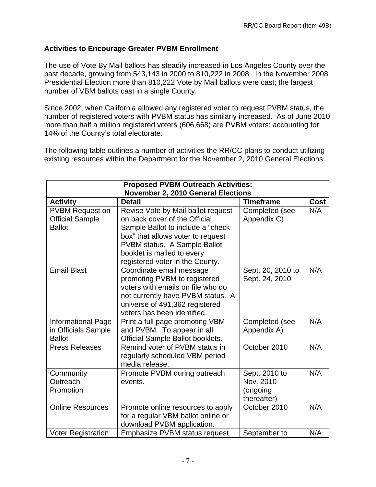### **Activities to Encourage Greater PVBM Enrollment**

The use of Vote By Mail ballots has steadily increased in Los Angeles County over the past decade, growing from 543,143 in 2000 to 810,222 in 2008. In the November 2008 Presidential Election more than 810,222 Vote by Mail ballots were cast; the largest number of VBM ballots cast in a single County.

Since 2002, when California allowed any registered voter to request PVBM status, the number of registered voters with PVBM status has similarly increased. As of June 2010 more than half a million registered voters (606,668) are PVBM voters; accounting for 14% of the County's total electorate.

The following table outlines a number of activities the RR/CC plans to conduct utilizing existing resources within the Department for the November 2, 2010 General Elections.

| <b>Proposed PVBM Outreach Activities:</b> |                                    |                   |             |  |  |  |  |
|-------------------------------------------|------------------------------------|-------------------|-------------|--|--|--|--|
| <b>November 2, 2010 General Elections</b> |                                    |                   |             |  |  |  |  |
| <b>Activity</b>                           | <b>Detail</b>                      | <b>Timeframe</b>  | <b>Cost</b> |  |  |  |  |
| <b>PVBM Request on</b>                    | Revise Vote by Mail ballot request | Completed (see    | N/A         |  |  |  |  |
| <b>Official Sample</b>                    | on back cover of the Official      | Appendix C)       |             |  |  |  |  |
| <b>Ballot</b>                             | Sample Ballot to include a "check  |                   |             |  |  |  |  |
|                                           | box" that allows voter to request  |                   |             |  |  |  |  |
|                                           | PVBM status. A Sample Ballot       |                   |             |  |  |  |  |
|                                           | booklet is mailed to every         |                   |             |  |  |  |  |
|                                           | registered voter in the County.    |                   |             |  |  |  |  |
| <b>Email Blast</b>                        | Coordinate email message           | Sept. 20, 2010 to | N/A         |  |  |  |  |
|                                           | promoting PVBM to registered       | Sept. 24, 2010    |             |  |  |  |  |
|                                           | voters with emails on file who do  |                   |             |  |  |  |  |
|                                           | not currently have PVBM status. A  |                   |             |  |  |  |  |
|                                           | universe of 491,362 registered     |                   |             |  |  |  |  |
|                                           | voters has been identified.        |                   |             |  |  |  |  |
| <b>Informational Page</b>                 | Print a full page promoting VBM    | Completed (see    | N/A         |  |  |  |  |
| in Officials Sample                       | and PVBM. To appear in all         | Appendix A)       |             |  |  |  |  |
| <b>Ballot</b>                             | Official Sample Ballot booklets.   |                   |             |  |  |  |  |
| <b>Press Releases</b>                     | Remind voter of PVBM status in     | October 2010      | N/A         |  |  |  |  |
|                                           | regularly scheduled VBM period     |                   |             |  |  |  |  |
|                                           | media release.                     |                   |             |  |  |  |  |
| Community                                 | Promote PVBM during outreach       | Sept. 2010 to     | N/A         |  |  |  |  |
| Outreach                                  | events.                            | Nov. 2010         |             |  |  |  |  |
| Promotion                                 |                                    | (ongoing          |             |  |  |  |  |
|                                           |                                    | thereafter)       |             |  |  |  |  |
| <b>Online Resources</b>                   | Promote online resources to apply  | October 2010      | N/A         |  |  |  |  |
|                                           | for a regular VBM ballot online or |                   |             |  |  |  |  |
|                                           | download PVBM application.         |                   |             |  |  |  |  |
| <b>Voter Registration</b>                 | Emphasize PVBM status request      | September to      | N/A         |  |  |  |  |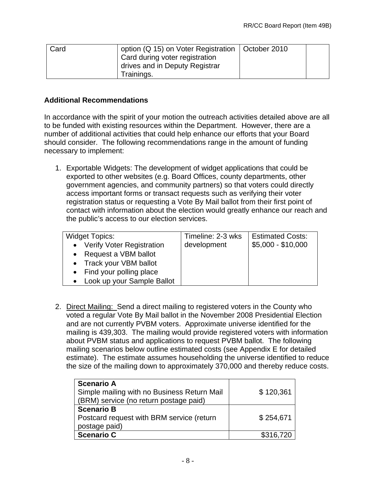| Card | option (Q 15) on Voter Registration   October 2010 |  |
|------|----------------------------------------------------|--|
|      | Card during voter registration                     |  |
|      | drives and in Deputy Registrar                     |  |
|      | Trainings.                                         |  |

#### **Additional Recommendations**

In accordance with the spirit of your motion the outreach activities detailed above are all to be funded with existing resources within the Department. However, there are a number of additional activities that could help enhance our efforts that your Board should consider. The following recommendations range in the amount of funding necessary to implement:

1. Exportable Widgets: The development of widget applications that could be exported to other websites (e.g. Board Offices, county departments, other government agencies, and community partners) so that voters could directly access important forms or transact requests such as verifying their voter registration status or requesting a Vote By Mail ballot from their first point of contact with information about the election would greatly enhance our reach and the public's access to our election services.

| <b>Widget Topics:</b>        | Timeline: 2-3 wks | <b>Estimated Costs:</b> |
|------------------------------|-------------------|-------------------------|
| • Verify Voter Registration  | development       | $$5,000 - $10,000$      |
| • Request a VBM ballot       |                   |                         |
| • Track your VBM ballot      |                   |                         |
| • Find your polling place    |                   |                         |
| • Look up your Sample Ballot |                   |                         |

2. Direct Mailing: Send a direct mailing to registered voters in the County who voted a regular Vote By Mail ballot in the November 2008 Presidential Election and are not currently PVBM voters. Approximate universe identified for the mailing is 439,303. The mailing would provide registered voters with information about PVBM status and applications to request PVBM ballot. The following mailing scenarios below outline estimated costs (see Appendix E for detailed estimate). The estimate assumes householding the universe identified to reduce the size of the mailing down to approximately 370,000 and thereby reduce costs.

| <b>Scenario A</b>                           |           |
|---------------------------------------------|-----------|
| Simple mailing with no Business Return Mail | \$120,361 |
| (BRM) service (no return postage paid)      |           |
| <b>Scenario B</b>                           |           |
| Postcard request with BRM service (return   | \$254,671 |
| postage paid)                               |           |
| <b>Scenario C</b>                           | \$316,720 |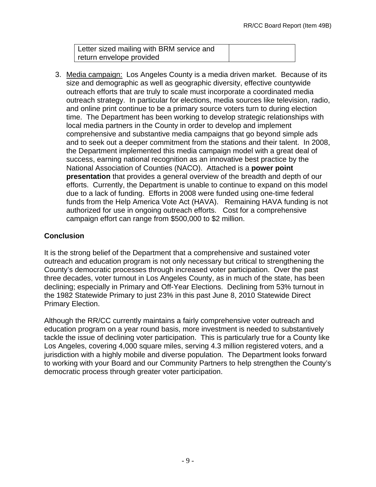Letter sized mailing with BRM service and return envelope provided

3. Media campaign: Los Angeles County is a media driven market. Because of its size and demographic as well as geographic diversity, effective countywide outreach efforts that are truly to scale must incorporate a coordinated media outreach strategy. In particular for elections, media sources like television, radio, and online print continue to be a primary source voters turn to during election time. The Department has been working to develop strategic relationships with local media partners in the County in order to develop and implement comprehensive and substantive media campaigns that go beyond simple ads and to seek out a deeper commitment from the stations and their talent. In 2008, the Department implemented this media campaign model with a great deal of success, earning national recognition as an innovative best practice by the National Association of Counties (NACO). Attached is a **power point presentation** that provides a general overview of the breadth and depth of our efforts. Currently, the Department is unable to continue to expand on this model due to a lack of funding. Efforts in 2008 were funded using one-time federal funds from the Help America Vote Act (HAVA). Remaining HAVA funding is not authorized for use in ongoing outreach efforts. Cost for a comprehensive campaign effort can range from \$500,000 to \$2 million.

## **Conclusion**

It is the strong belief of the Department that a comprehensive and sustained voter outreach and education program is not only necessary but critical to strengthening the County's democratic processes through increased voter participation. Over the past three decades, voter turnout in Los Angeles County, as in much of the state, has been declining; especially in Primary and Off-Year Elections. Declining from 53% turnout in the 1982 Statewide Primary to just 23% in this past June 8, 2010 Statewide Direct Primary Election.

Although the RR/CC currently maintains a fairly comprehensive voter outreach and education program on a year round basis, more investment is needed to substantively tackle the issue of declining voter participation. This is particularly true for a County like Los Angeles, covering 4,000 square miles, serving 4.3 million registered voters, and a jurisdiction with a highly mobile and diverse population. The Department looks forward to working with your Board and our Community Partners to help strengthen the County's democratic process through greater voter participation.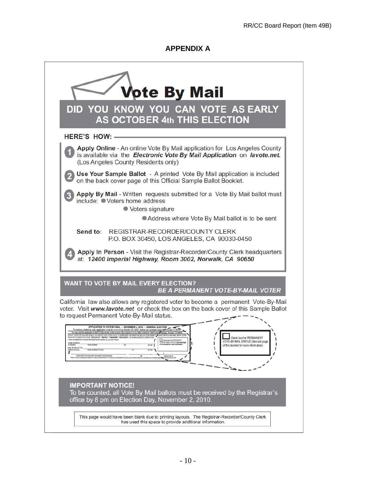#### **APPENDIX A**

| <b>Vote By Mail</b>                                                                                                                                                                                                                                                                                                                                                                                                                                                                                                                      |
|------------------------------------------------------------------------------------------------------------------------------------------------------------------------------------------------------------------------------------------------------------------------------------------------------------------------------------------------------------------------------------------------------------------------------------------------------------------------------------------------------------------------------------------|
| DID YOU KNOW YOU CAN VOTE AS EARLY<br><b>AS OCTOBER 4th THIS ELECTION</b>                                                                                                                                                                                                                                                                                                                                                                                                                                                                |
| <b>HERE'S HOW: -</b>                                                                                                                                                                                                                                                                                                                                                                                                                                                                                                                     |
| Apply Online - An online Vote By Mail application for Los Angeles County<br>is available via the Electronic Vote By Mail Application on lavote.net.<br>(Los Angeles County Residents only)                                                                                                                                                                                                                                                                                                                                               |
| Use Your Sample Ballot - A printed Vote By Mail application is included<br>on the back cover page of this Official Sample Ballot Booklet.                                                                                                                                                                                                                                                                                                                                                                                                |
| Apply By Mail - Written requests submitted for a Vote By Mail ballot must<br>include: ● Voters home address<br>● Voters signature<br>Address where Vote By Mail ballot is to be sent                                                                                                                                                                                                                                                                                                                                                     |
| Send to:<br>REGISTRAR-RECORDER/COUNTY CLERK<br>P.O. BOX 30450, LOS ANGELES, CA 90030-0450                                                                                                                                                                                                                                                                                                                                                                                                                                                |
| Apply In Person - Visit the Registrar-Recorder/County Clerk headquarters<br>at: 12400 Imperial Highway, Room 3002, Norwalk, CA 90650<br><b>WANT TO VOTE BY MAIL EVERY ELECTION?</b>                                                                                                                                                                                                                                                                                                                                                      |
| <b>BE A PERMANENT VOTE-BY-MAIL VOTER</b><br>California law also allows any registered voter to become a permanent Vote-By-Mail<br>voter. Visit www.lavote.net or check the box on the back cover of this Sample Ballot<br>to request Permanent Vote-By-Mail status.                                                                                                                                                                                                                                                                      |
| Check box for PERMANENT<br>have not applied for a Vote By Mail balks for this election by any other mea<br>Check box for PERMANENT<br>ı<br>VOTE-BY-MAIL STATUS (See last page<br>E-BY-MAIL STATUS (See last page<br><b>CNE ADDRESS</b><br>1<br>of this booklet for more information<br>of this booklet for more information)<br>MAIL MY BALLOT TO:<br>Norther and Street to P.O. Box<br>١<br>SCRAFTURE OF APPLICANT BAUST BE SIDNED TO BE PROCESSING<br>hallet off at your poll on alaction day, or 2)<br>let thing and rote at your put |
| <b>IMPORTANT NOTICE!</b><br>To be counted, all Vote By Mail ballots must be received by the Registrar's<br>office by 8 pm on Election Day, November 2, 2010.                                                                                                                                                                                                                                                                                                                                                                             |
| This page would have been blank due to printing layouts. The Registrar-Recorder/County Clerk<br>has used this space to provide additional information.                                                                                                                                                                                                                                                                                                                                                                                   |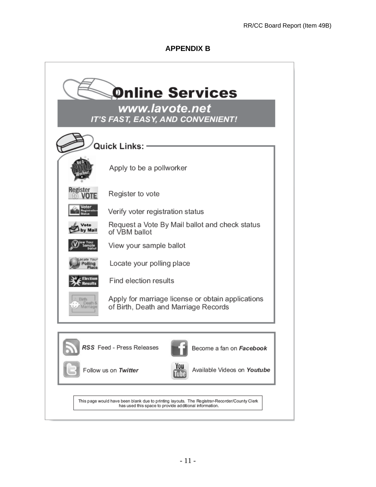#### **APPENDIX B**

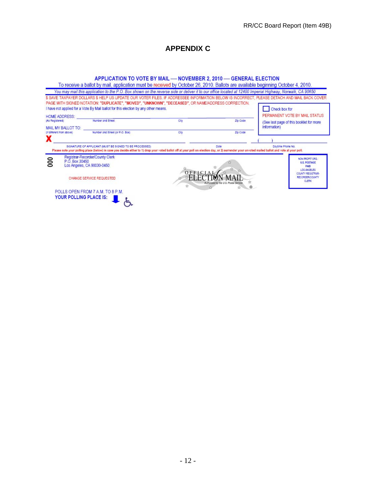# **APPENDIX C**

#### APPLICATION TO VOTE BY MAIL - NOVEMBER 2, 2010 - GENERAL ELECTION

|                                       | To receive a ballot by mail, application must be received by October 26, 2010. Ballots are available beginning October 4, 2010.<br>You may mail this application to the P.O. Box shown on the reverse side or deliver it to our office located at 12400 Imperial Highway, Norwalk, CA 90650<br>PAGE WITH SIGNED NOTATION: "DUPLICATE", "MOVED", "UNKNOWN", "DECEASED", OR NAME/ADDRESS CORRECTION.<br>I have not applied for a Vote By Mail ballot for this election by any other means. |              |                                                   | \$ SAVE TAXPAYER DOLLARS \$ HELP US UPDATE OUR VOTER FILES. IF ADDRESSEE INFORMATION BELOW IS INCORRECT, PLEASE DETACH AND MAIL BACK COVER<br>Check box for |
|---------------------------------------|------------------------------------------------------------------------------------------------------------------------------------------------------------------------------------------------------------------------------------------------------------------------------------------------------------------------------------------------------------------------------------------------------------------------------------------------------------------------------------------|--------------|---------------------------------------------------|-------------------------------------------------------------------------------------------------------------------------------------------------------------|
| <b>HOME ADDRESS:</b>                  | Number and Street                                                                                                                                                                                                                                                                                                                                                                                                                                                                        | City         | Zip Code                                          | PERMANENT VOTE BY MAIL STATUS                                                                                                                               |
| (As Registered)<br>MAIL MY BALLOT TO: |                                                                                                                                                                                                                                                                                                                                                                                                                                                                                          |              |                                                   | (See last page of this booklet for more<br>information)                                                                                                     |
| (if different from above)             | Number and Street (or P.O. Box)                                                                                                                                                                                                                                                                                                                                                                                                                                                          | City         | Zip Code                                          |                                                                                                                                                             |
| л                                     |                                                                                                                                                                                                                                                                                                                                                                                                                                                                                          |              |                                                   |                                                                                                                                                             |
|                                       | SIGNATURE OF APPLICANT IMUST BE SIGNED TO BE PROCESSED)<br>Please note your polling place (below) in case you decide either to 1) drop your voted ballot off at your poll on election day, or 2) surrender your unvoted mailed ballot and vote at your poll.                                                                                                                                                                                                                             |              | Date                                              | Davtime Phone No.                                                                                                                                           |
| $\approx$<br>P.O. Box 30450           | Registrar-Recorder/County Clerk<br>Los Angeles, CA 90030-0450                                                                                                                                                                                                                                                                                                                                                                                                                            |              |                                                   | NON PROFIT ORG.<br><b>U.S. POSTAGE</b><br><b>PAID</b><br><b>LOS ANGELES</b>                                                                                 |
|                                       | CHANGE SERVICE REQUESTED                                                                                                                                                                                                                                                                                                                                                                                                                                                                 | OFFICI<br>52 | ŵ.<br>Authorized by the U.S. Postal Service.<br>® | COUNTY REGISTRAR-<br><b>RECORDER/COUNTY</b><br><b>CLERK</b>                                                                                                 |
|                                       | POLLS OPEN FROM 7 A M, TO 8 P M.                                                                                                                                                                                                                                                                                                                                                                                                                                                         |              |                                                   |                                                                                                                                                             |
| YOUR POLLING PLACE IS:                |                                                                                                                                                                                                                                                                                                                                                                                                                                                                                          |              |                                                   |                                                                                                                                                             |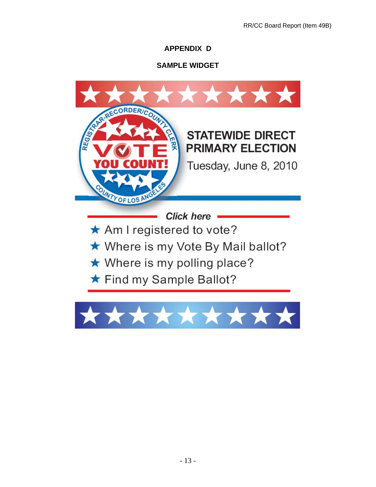# **APPENDIX D**

# **SAMPLE WIDGET**